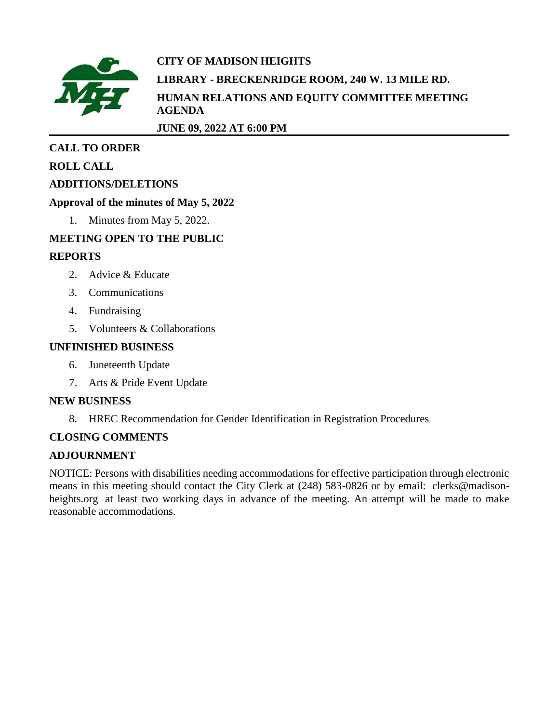

# **CITY OF MADISON HEIGHTS LIBRARY - BRECKENRIDGE ROOM, 240 W. 13 MILE RD. HUMAN RELATIONS AND EQUITY COMMITTEE MEETING AGENDA**

**JUNE 09, 2022 AT 6:00 PM**

# **CALL TO ORDER**

# **ROLL CALL**

# **ADDITIONS/DELETIONS**

# **Approval of the minutes of May 5, 2022**

1. Minutes from May 5, 2022.

# **MEETING OPEN TO THE PUBLIC**

# **REPORTS**

- 2. Advice & Educate
- 3. Communications
- 4. Fundraising
- 5. Volunteers & Collaborations

# **UNFINISHED BUSINESS**

- 6. Juneteenth Update
- 7. Arts & Pride Event Update

# **NEW BUSINESS**

8. HREC Recommendation for Gender Identification in Registration Procedures

# **CLOSING COMMENTS**

# **ADJOURNMENT**

NOTICE: Persons with disabilities needing accommodations for effective participation through electronic means in this meeting should contact the City Clerk at (248) 583-0826 or by email: clerks@madisonheights.org at least two working days in advance of the meeting. An attempt will be made to make reasonable accommodations.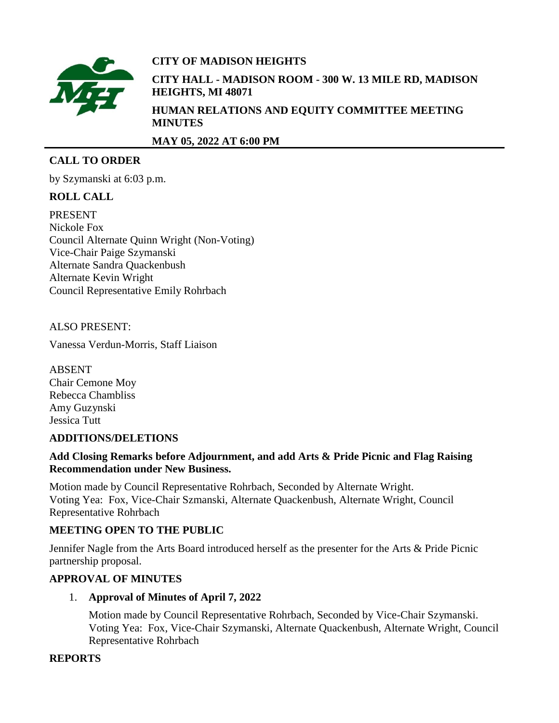

# **CITY OF MADISON HEIGHTS**

**CITY HALL - MADISON ROOM - 300 W. 13 MILE RD, MADISON HEIGHTS, MI 48071 HUMAN RELATIONS AND EQUITY COMMITTEE MEETING MINUTES**

**MAY 05, 2022 AT 6:00 PM**

# **CALL TO ORDER**

by Szymanski at 6:03 p.m.

# **ROLL CALL**

PRESENT Nickole Fox Council Alternate Quinn Wright (Non-Voting) Vice-Chair Paige Szymanski Alternate Sandra Quackenbush Alternate Kevin Wright Council Representative Emily Rohrbach

# ALSO PRESENT:

Vanessa Verdun-Morris, Staff Liaison

ABSENT Chair Cemone Moy Rebecca Chambliss Amy Guzynski Jessica Tutt

#### **ADDITIONS/DELETIONS**

#### **Add Closing Remarks before Adjournment, and add Arts & Pride Picnic and Flag Raising Recommendation under New Business.**

Motion made by Council Representative Rohrbach, Seconded by Alternate Wright. Voting Yea: Fox, Vice-Chair Szmanski, Alternate Quackenbush, Alternate Wright, Council Representative Rohrbach

#### **MEETING OPEN TO THE PUBLIC**

Jennifer Nagle from the Arts Board introduced herself as the presenter for the Arts & Pride Picnic partnership proposal.

#### **APPROVAL OF MINUTES**

1. **Approval of Minutes of April 7, 2022**

Motion made by Council Representative Rohrbach, Seconded by Vice-Chair Szymanski. Voting Yea: Fox, Vice-Chair Szymanski, Alternate Quackenbush, Alternate Wright, Council Representative Rohrbach

#### **REPORTS**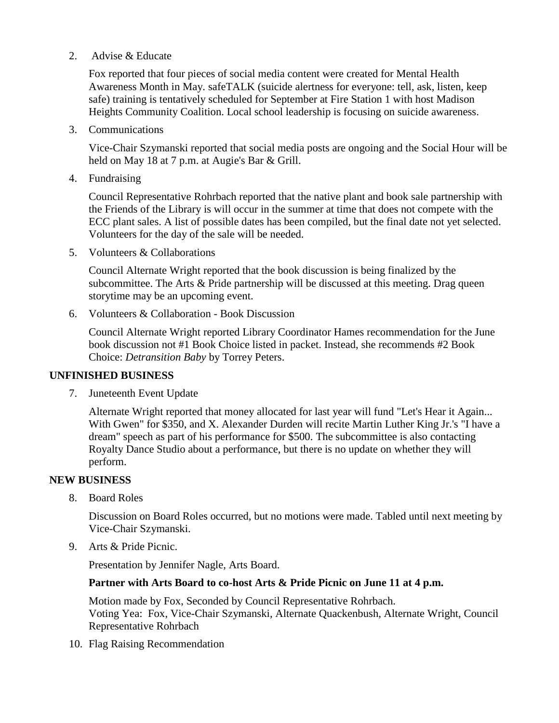#### 2. Advise & Educate

Fox reported that four pieces of social media content were created for Mental Health Awareness Month in May. safeTALK (suicide alertness for everyone: tell, ask, listen, keep safe) training is tentatively scheduled for September at Fire Station 1 with host Madison Heights Community Coalition. Local school leadership is focusing on suicide awareness.

3. Communications

Vice-Chair Szymanski reported that social media posts are ongoing and the Social Hour will be held on May 18 at 7 p.m. at Augie's Bar & Grill.

4. Fundraising

Council Representative Rohrbach reported that the native plant and book sale partnership with the Friends of the Library is will occur in the summer at time that does not compete with the ECC plant sales. A list of possible dates has been compiled, but the final date not yet selected. Volunteers for the day of the sale will be needed.

5. Volunteers & Collaborations

Council Alternate Wright reported that the book discussion is being finalized by the subcommittee. The Arts & Pride partnership will be discussed at this meeting. Drag queen storytime may be an upcoming event.

6. Volunteers & Collaboration - Book Discussion

Council Alternate Wright reported Library Coordinator Hames recommendation for the June book discussion not #1 Book Choice listed in packet. Instead, she recommends #2 Book Choice: *Detransition Baby* by Torrey Peters.

# **UNFINISHED BUSINESS**

7. Juneteenth Event Update

Alternate Wright reported that money allocated for last year will fund "Let's Hear it Again... With Gwen" for \$350, and X. Alexander Durden will recite Martin Luther King Jr.'s "I have a dream" speech as part of his performance for \$500. The subcommittee is also contacting Royalty Dance Studio about a performance, but there is no update on whether they will perform.

#### **NEW BUSINESS**

8. Board Roles

Discussion on Board Roles occurred, but no motions were made. Tabled until next meeting by Vice-Chair Szymanski.

9. Arts & Pride Picnic.

Presentation by Jennifer Nagle, Arts Board.

#### **Partner with Arts Board to co-host Arts & Pride Picnic on June 11 at 4 p.m.**

Motion made by Fox, Seconded by Council Representative Rohrbach. Voting Yea: Fox, Vice-Chair Szymanski, Alternate Quackenbush, Alternate Wright, Council Representative Rohrbach

10. Flag Raising Recommendation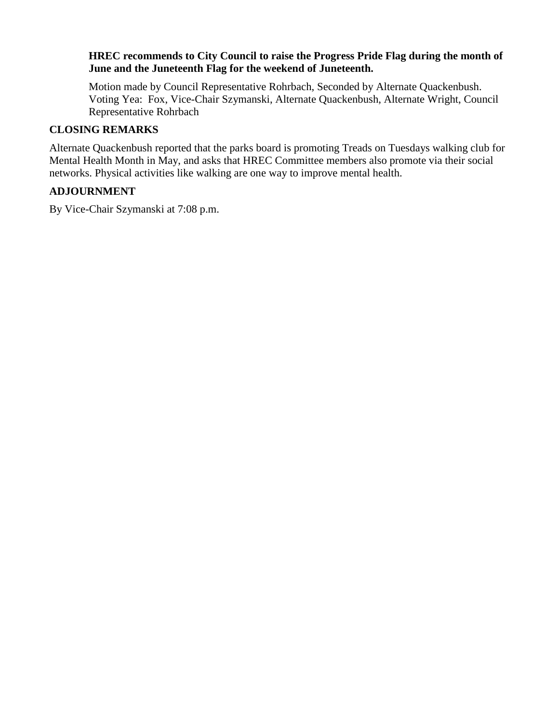#### **HREC recommends to City Council to raise the Progress Pride Flag during the month of June and the Juneteenth Flag for the weekend of Juneteenth.**

Motion made by Council Representative Rohrbach, Seconded by Alternate Quackenbush. Voting Yea: Fox, Vice-Chair Szymanski, Alternate Quackenbush, Alternate Wright, Council Representative Rohrbach

#### **CLOSING REMARKS**

Alternate Quackenbush reported that the parks board is promoting Treads on Tuesdays walking club for Mental Health Month in May, and asks that HREC Committee members also promote via their social networks. Physical activities like walking are one way to improve mental health.

# **ADJOURNMENT**

By Vice-Chair Szymanski at 7:08 p.m.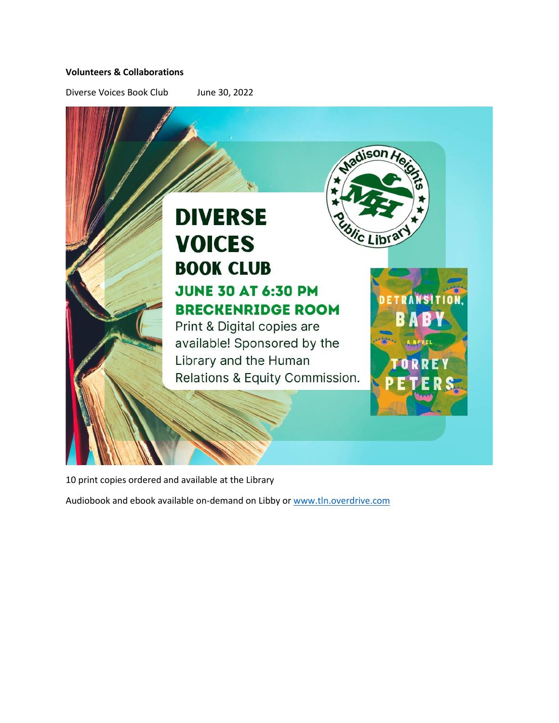#### **Volunteers & Collaborations**

Diverse Voices Book Club June 30, 2022



# **BRECKENRIDGE ROOM**

Print & Digital copies are available! Sponsored by the Library and the Human Relations & Equity Commission.



dison

<sup>i</sup>c Lib

10 print copies ordered and available at the Library

Audiobook and ebook available on-demand on Libby o[r www.tln.overdrive.com](http://www.tln.overdrive.com/)